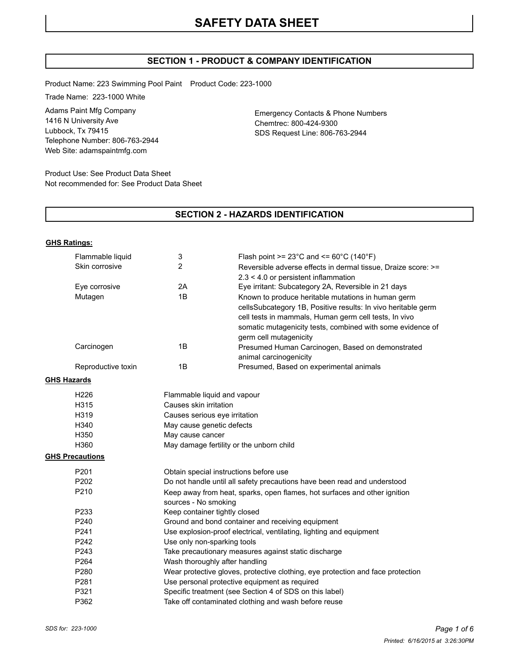# **SECTION 1 - PRODUCT & COMPANY IDENTIFICATION**

Product Name: 223 Swimming Pool Paint Product Code: 223-1000

Trade Name: 223-1000 White

Adams Paint Mfg Company 1416 N University Ave Lubbock, Tx 79415 Telephone Number: 806-763-2944 Web Site: adamspaintmfg.com

Emergency Contacts & Phone Numbers Chemtrec: 800-424-9300 SDS Request Line: 806-763-2944

Product Use: See Product Data Sheet Not recommended for: See Product Data Sheet

### **SECTION 2 - HAZARDS IDENTIFICATION**

#### **GHS Ratings:**

|                    | Flammable liquid       | 3                                                                                                 | Flash point >= $23^{\circ}$ C and <= $60^{\circ}$ C (140 $^{\circ}$ F)                                              |  |
|--------------------|------------------------|---------------------------------------------------------------------------------------------------|---------------------------------------------------------------------------------------------------------------------|--|
|                    | Skin corrosive         | 2                                                                                                 | Reversible adverse effects in dermal tissue, Draize score: >=                                                       |  |
|                    |                        |                                                                                                   | $2.3 < 4.0$ or persistent inflammation                                                                              |  |
|                    | Eye corrosive          | 2A                                                                                                | Eye irritant: Subcategory 2A, Reversible in 21 days                                                                 |  |
|                    | Mutagen                | 1B                                                                                                | Known to produce heritable mutations in human germ<br>cellsSubcategory 1B, Positive results: In vivo heritable germ |  |
|                    |                        |                                                                                                   | cell tests in mammals, Human germ cell tests, In vivo<br>somatic mutagenicity tests, combined with some evidence of |  |
|                    | Carcinogen             | 1B                                                                                                | germ cell mutagenicity<br>Presumed Human Carcinogen, Based on demonstrated<br>animal carcinogenicity                |  |
|                    | Reproductive toxin     | 1B                                                                                                | Presumed, Based on experimental animals                                                                             |  |
| <b>GHS Hazards</b> |                        |                                                                                                   |                                                                                                                     |  |
|                    | H226                   | Flammable liquid and vapour                                                                       |                                                                                                                     |  |
|                    | H315                   | Causes skin irritation                                                                            |                                                                                                                     |  |
|                    | H319                   | Causes serious eye irritation                                                                     |                                                                                                                     |  |
|                    | H340                   | May cause genetic defects                                                                         |                                                                                                                     |  |
|                    | H350                   | May cause cancer                                                                                  |                                                                                                                     |  |
|                    | H360                   | May damage fertility or the unborn child                                                          |                                                                                                                     |  |
|                    | <b>GHS Precautions</b> |                                                                                                   |                                                                                                                     |  |
|                    | P201                   | Obtain special instructions before use                                                            |                                                                                                                     |  |
|                    | P202                   |                                                                                                   | Do not handle until all safety precautions have been read and understood                                            |  |
|                    | P210                   | Keep away from heat, sparks, open flames, hot surfaces and other ignition<br>sources - No smoking |                                                                                                                     |  |
|                    | P233                   | Keep container tightly closed                                                                     |                                                                                                                     |  |
|                    | P240                   | Ground and bond container and receiving equipment                                                 |                                                                                                                     |  |
|                    | P241                   | Use explosion-proof electrical, ventilating, lighting and equipment                               |                                                                                                                     |  |
|                    | P242                   | Use only non-sparking tools                                                                       |                                                                                                                     |  |
|                    | P243                   | Take precautionary measures against static discharge                                              |                                                                                                                     |  |
|                    | P264                   | Wash thoroughly after handling                                                                    |                                                                                                                     |  |
|                    | P280                   | Wear protective gloves, protective clothing, eye protection and face protection                   |                                                                                                                     |  |
|                    | P281                   |                                                                                                   | Use personal protective equipment as required                                                                       |  |
|                    | P321                   |                                                                                                   | Specific treatment (see Section 4 of SDS on this label)                                                             |  |
|                    | P362                   | Take off contaminated clothing and wash before reuse                                              |                                                                                                                     |  |
|                    |                        |                                                                                                   |                                                                                                                     |  |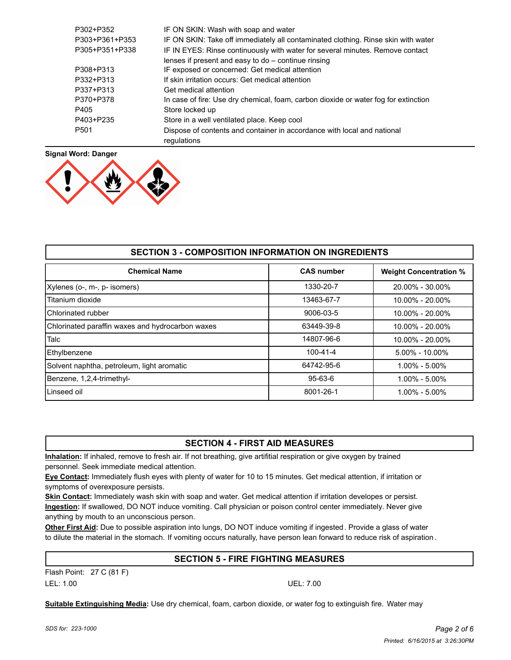| P302+P352        | IF ON SKIN: Wash with soap and water                                                |
|------------------|-------------------------------------------------------------------------------------|
| P303+P361+P353   | IF ON SKIN: Take off immediately all contaminated clothing. Rinse skin with water   |
| P305+P351+P338   | IF IN EYES: Rinse continuously with water for several minutes. Remove contact       |
|                  | lenses if present and easy to do - continue rinsing                                 |
| P308+P313        | IF exposed or concerned: Get medical attention                                      |
| P332+P313        | If skin irritation occurs: Get medical attention                                    |
| P337+P313        | Get medical attention                                                               |
| P370+P378        | In case of fire: Use dry chemical, foam, carbon dioxide or water fog for extinction |
| P405             | Store locked up                                                                     |
| P403+P235        | Store in a well ventilated place. Keep cool                                         |
| P <sub>501</sub> | Dispose of contents and container in accordance with local and national             |
|                  | regulations                                                                         |



| <b>SECTION 3 - COMPOSITION INFORMATION ON INGREDIENTS</b> |                   |                               |  |
|-----------------------------------------------------------|-------------------|-------------------------------|--|
| <b>Chemical Name</b>                                      | <b>CAS number</b> | <b>Weight Concentration %</b> |  |
| Xylenes (o-, m-, p- isomers)                              | 1330-20-7         | 20.00% - 30.00%               |  |
| Titanium dioxide                                          | 13463-67-7        | $10.00\% - 20.00\%$           |  |
| Chlorinated rubber                                        | 9006-03-5         | $10.00\% - 20.00\%$           |  |
| Chlorinated paraffin waxes and hydrocarbon waxes          | 63449-39-8        | 10.00% - 20.00%               |  |
| Talc                                                      | 14807-96-6        | $10.00\% - 20.00\%$           |  |
| Ethylbenzene                                              | 100-41-4          | $5.00\% - 10.00\%$            |  |
| Solvent naphtha, petroleum, light aromatic                | 64742-95-6        | $1.00\% - 5.00\%$             |  |
| Benzene, 1,2,4-trimethyl-                                 | $95 - 63 - 6$     | $1.00\% - 5.00\%$             |  |
| Linseed oil                                               | 8001-26-1         | $1.00\% - 5.00\%$             |  |

## **SECTION 4 - FIRST AID MEASURES**

**Inhalation:** If inhaled, remove to fresh air. If not breathing, give artifitial respiration or give oxygen by trained personnel. Seek immediate medical attention.

**Eye Contact:** Immediately flush eyes with plenty of water for 10 to 15 minutes. Get medical attention, if irritation or symptoms of overexposure persists.

**Skin Contact:** Immediately wash skin with soap and water. Get medical attention if irritation developes or persist. **Ingestion:** If swallowed, DO NOT induce vomiting. Call physician or poison control center immediately. Never give anything by mouth to an unconscious person.

**Other First Aid:** Due to possible aspiration into lungs, DO NOT induce vomiting if ingested. Provide a glass of water to dilute the material in the stomach. If vomiting occurs naturally, have person lean forward to reduce risk of aspiration .

# **SECTION 5 - FIRE FIGHTING MEASURES**

Flash Point: 27 C (81 F) LEL: 1.00 UEL: 7.00

**Suitable Extinguishing Media:** Use dry chemical, foam, carbon dioxide, or water fog to extinguish fire. Water may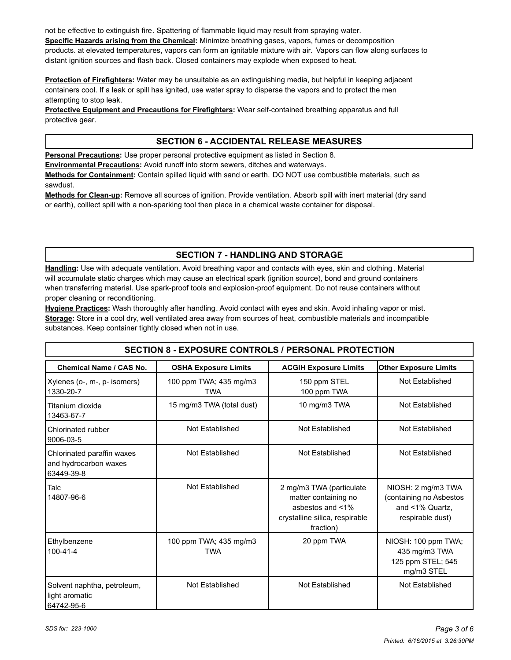not be effective to extinguish fire. Spattering of flammable liquid may result from spraying water. **Specific Hazards arising from the Chemical:** Minimize breathing gases, vapors, fumes or decomposition products. at elevated temperatures, vapors can form an ignitable mixture with air. Vapors can flow along surfaces to distant ignition sources and flash back. Closed containers may explode when exposed to heat.

**Protection of Firefighters:** Water may be unsuitable as an extinguishing media, but helpful in keeping adjacent containers cool. If a leak or spill has ignited, use water spray to disperse the vapors and to protect the men attempting to stop leak.

**Protective Equipment and Precautions for Firefighters:** Wear self-contained breathing apparatus and full protective gear.

## **SECTION 6 - ACCIDENTAL RELEASE MEASURES**

**Personal Precautions:** Use proper personal protective equipment as listed in Section 8.

**Environmental Precautions:** Avoid runoff into storm sewers, ditches and waterways.

**Methods for Containment:** Contain spilled liquid with sand or earth. DO NOT use combustible materials, such as sawdust.

**Methods for Clean-up:** Remove all sources of ignition. Provide ventilation. Absorb spill with inert material (dry sand or earth), colllect spill with a non-sparking tool then place in a chemical waste container for disposal.

# **SECTION 7 - HANDLING AND STORAGE**

**Handling:** Use with adequate ventilation. Avoid breathing vapor and contacts with eyes, skin and clothing. Material will accumulate static charges which may cause an electrical spark (ignition source), bond and ground containers when transferring material. Use spark-proof tools and explosion-proof equipment. Do not reuse containers without proper cleaning or reconditioning.

**Hygiene Practices:** Wash thoroughly after handling. Avoid contact with eyes and skin. Avoid inhaling vapor or mist. **Storage:** Store in a cool dry, well ventilated area away from sources of heat, combustible materials and incompatible substances. Keep container tightly closed when not in use.

# **SECTION 8 - EXPOSURE CONTROLS / PERSONAL PROTECTION**

| Chemical Name / CAS No.                                           | <b>OSHA Exposure Limits</b>          | <b>ACGIH Exposure Limits</b>                                                                                        | <b>Other Exposure Limits</b>                                                         |
|-------------------------------------------------------------------|--------------------------------------|---------------------------------------------------------------------------------------------------------------------|--------------------------------------------------------------------------------------|
| Xylenes (o-, m-, p- isomers)<br>1330-20-7                         | 100 ppm TWA; 435 mg/m3<br><b>TWA</b> | 150 ppm STEL<br>100 ppm TWA                                                                                         | Not Established                                                                      |
| Titanium dioxide<br>13463-67-7                                    | 15 mg/m3 TWA (total dust)            | 10 mg/m3 TWA                                                                                                        | Not Established                                                                      |
| Chlorinated rubber<br>9006-03-5                                   | Not Established                      | Not Established                                                                                                     | Not Established                                                                      |
| Chlorinated paraffin waxes<br>and hydrocarbon waxes<br>63449-39-8 | Not Established                      | Not Established                                                                                                     | Not Established                                                                      |
| Talc<br>14807-96-6                                                | Not Established                      | 2 mg/m3 TWA (particulate<br>matter containing no<br>asbestos and <1%<br>crystalline silica, respirable<br>fraction) | NIOSH: 2 mg/m3 TWA<br>(containing no Asbestos<br>and <1% Quartz,<br>respirable dust) |
| Ethylbenzene<br>$100 - 41 - 4$                                    | 100 ppm TWA; 435 mg/m3<br><b>TWA</b> | 20 ppm TWA                                                                                                          | NIOSH: 100 ppm TWA;<br>435 mg/m3 TWA<br>125 ppm STEL; 545<br>mg/m3 STEL              |
| Solvent naphtha, petroleum,<br>light aromatic<br>64742-95-6       | Not Established                      | Not Established                                                                                                     | Not Established                                                                      |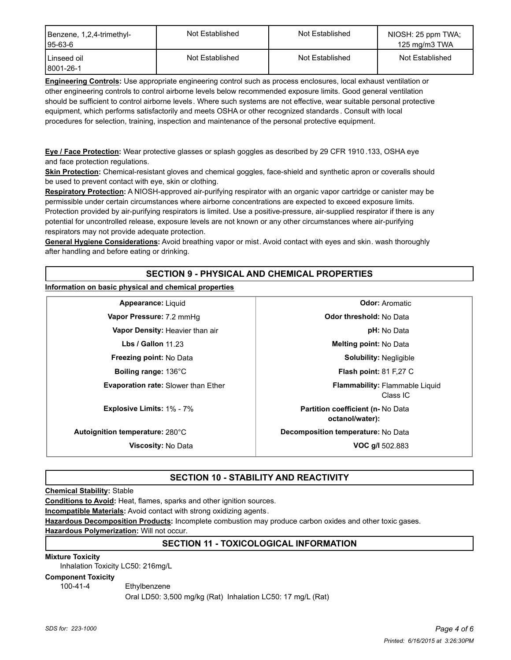| Benzene, 1,2,4-trimethyl-<br>$195-63-6$ | Not Established | Not Established | NIOSH: 25 ppm TWA;<br>125 mg/m3 TWA |
|-----------------------------------------|-----------------|-----------------|-------------------------------------|
| Linseed oil<br>8001-26-1                | Not Established | Not Established | Not Established                     |

**Engineering Controls:** Use appropriate engineering control such as process enclosures, local exhaust ventilation or other engineering controls to control airborne levels below recommended exposure limits. Good general ventilation should be sufficient to control airborne levels. Where such systems are not effective, wear suitable personal protective equipment, which performs satisfactorily and meets OSHA or other recognized standards . Consult with local procedures for selection, training, inspection and maintenance of the personal protective equipment.

**Eye / Face Protection:** Wear protective glasses or splash goggles as described by 29 CFR 1910 .133, OSHA eye and face protection regulations.

**Skin Protection:** Chemical-resistant gloves and chemical goggles, face-shield and synthetic apron or coveralls should be used to prevent contact with eye, skin or clothing.

**Respiratory Protection:** A NIOSH-approved air-purifying respirator with an organic vapor cartridge or canister may be permissible under certain circumstances where airborne concentrations are expected to exceed exposure limits. Protection provided by air-purifying respirators is limited. Use a positive-pressure, air-supplied respirator if there is any potential for uncontrolled release, exposure levels are not known or any other circumstances where air-purifying respirators may not provide adequate protection.

**General Hygiene Considerations:** Avoid breathing vapor or mist. Avoid contact with eyes and skin. wash thoroughly after handling and before eating or drinking.

# **SECTION 9 - PHYSICAL AND CHEMICAL PROPERTIES**

**Information on basic physical and chemical properties**

**Vapor Pressure:** 7.2 mmHg **Department of Contact Contact Pressure: 7.2 mmHg Vapor Density:** Heavier than air **pH:** No Data **Freezing point:** No Data **Solubility:** Negligible **Boiling range:** 136°C **Flash point:** 81 F,27 C **Evaporation rate:** Slower than Ether

**Appearance:** Liquid **Odor:** Aromatic **Lbs / Gallon** 11.23 **Melting point:** No Data Class IC **Flammability: Explosive Limits:** 1% - 7% **Partition coefficient (n-** No Data **octanol/water): Autoignition temperature:** 280°C **Decomposition temperature:** No Data **Viscosity:** No Data **VOC g/l** 502.883

**SECTION 10 - STABILITY AND REACTIVITY**

**Chemical Stability:** Stable

**Conditions to Avoid:** Heat, flames, sparks and other ignition sources.

**Incompatible Materials:** Avoid contact with strong oxidizing agents.

**Hazardous Decomposition Products:** Incomplete combustion may produce carbon oxides and other toxic gases.

**Hazardous Polymerization:** Will not occur.

## **SECTION 11 - TOXICOLOGICAL INFORMATION**

**Mixture Toxicity**

Inhalation Toxicity LC50: 216mg/L

**Component Toxicity**

100-41-4 Ethylbenzene

Oral LD50: 3,500 mg/kg (Rat) Inhalation LC50: 17 mg/L (Rat)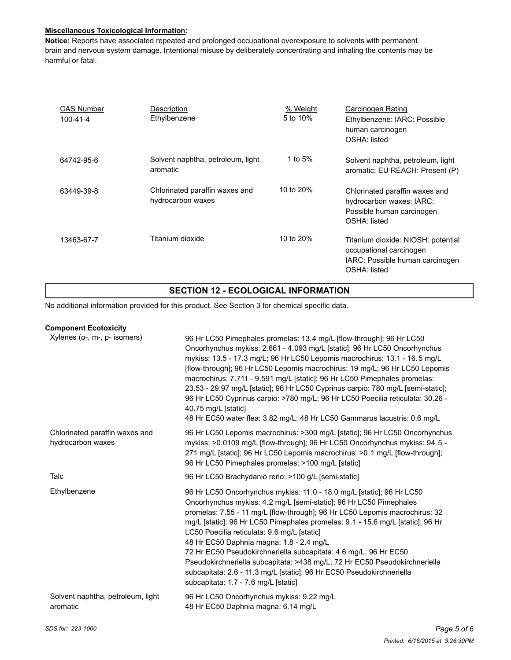#### **Miscellaneous Toxicological Information:**

**Notice:** Reports have associated repeated and prolonged occupational overexposure to solvents with permanent brain and nervous system damage. Intentional misuse by deliberately concentrating and inhaling the contents may be harmful or fatal.

| <b>CAS Number</b><br>$100 - 41 - 4$ | Description<br>Ethylbenzene                         | % Weight<br>5 to 10% | Carcinogen Rating<br>Ethylbenzene: IARC: Possible<br>human carcinogen<br>OSHA: listed                            |
|-------------------------------------|-----------------------------------------------------|----------------------|------------------------------------------------------------------------------------------------------------------|
| 64742-95-6                          | Solvent naphtha, petroleum, light<br>aromatic       | 1 to 5%              | Solvent naphtha, petroleum, light<br>aromatic: EU REACH: Present (P)                                             |
| 63449-39-8                          | Chlorinated paraffin waxes and<br>hydrocarbon waxes | 10 to 20%            | Chlorinated paraffin waxes and<br>hydrocarbon waxes: IARC:<br>Possible human carcinogen<br>OSHA: listed          |
| 13463-67-7                          | Titanium dioxide                                    | 10 to 20%            | Titanium dioxide: NIOSH: potential<br>occupational carcinogen<br>IARC: Possible human carcinogen<br>OSHA: listed |

## **SECTION 12 - ECOLOGICAL INFORMATION**

No additional information provided for this product. See Section 3 for chemical specific data.

| <b>Component Ecotoxicity</b>                        |                                                                                                                                                                                                                                                                                                                                                                                                                                                                                                                                                                                                                                                                            |
|-----------------------------------------------------|----------------------------------------------------------------------------------------------------------------------------------------------------------------------------------------------------------------------------------------------------------------------------------------------------------------------------------------------------------------------------------------------------------------------------------------------------------------------------------------------------------------------------------------------------------------------------------------------------------------------------------------------------------------------------|
| Xylenes (o-, m-, p- isomers)                        | 96 Hr LC50 Pimephales promelas: 13.4 mg/L [flow-through]; 96 Hr LC50<br>Oncorhynchus mykiss: 2.661 - 4.093 mg/L [static]; 96 Hr LC50 Oncorhynchus<br>mykiss: 13.5 - 17.3 mg/L; 96 Hr LC50 Lepomis macrochirus: 13.1 - 16.5 mg/L<br>[flow-through]; 96 Hr LC50 Lepomis macrochirus: 19 mg/L; 96 Hr LC50 Lepomis<br>macrochirus: 7.711 - 9.591 mg/L [static]; 96 Hr LC50 Pimephales promelas:<br>23.53 - 29.97 mg/L [static]; 96 Hr LC50 Cyprinus carpio: 780 mg/L [semi-static];<br>96 Hr LC50 Cyprinus carpio: >780 mg/L; 96 Hr LC50 Poecilia reticulata: 30.26 -<br>40.75 mg/L [static]<br>48 Hr EC50 water flea: 3.82 mg/L; 48 Hr LC50 Gammarus lacustris: 0.6 mg/L      |
| Chlorinated paraffin waxes and<br>hydrocarbon waxes | 96 Hr LC50 Lepomis macrochirus: >300 mg/L [static]; 96 Hr LC50 Oncorhynchus<br>mykiss: >0.0109 mg/L [flow-through]; 96 Hr LC50 Oncorhynchus mykiss: 94.5 -<br>271 mg/L [static]; 96 Hr LC50 Lepomis macrochirus: >0.1 mg/L [flow-through];<br>96 Hr LC50 Pimephales promelas: >100 mg/L [static]                                                                                                                                                                                                                                                                                                                                                                           |
| Talc                                                | 96 Hr LC50 Brachydanio rerio: >100 g/L [semi-static]                                                                                                                                                                                                                                                                                                                                                                                                                                                                                                                                                                                                                       |
| Ethylbenzene                                        | 96 Hr LC50 Oncorhynchus mykiss: 11.0 - 18.0 mg/L [static]; 96 Hr LC50<br>Oncorhynchus mykiss: 4.2 mg/L [semi-static]; 96 Hr LC50 Pimephales<br>promelas: 7.55 - 11 mg/L [flow-through]; 96 Hr LC50 Lepomis macrochirus: 32<br>mg/L [static]; 96 Hr LC50 Pimephales promelas: 9.1 - 15.6 mg/L [static]; 96 Hr<br>LC50 Poecilia reticulata: 9.6 mg/L [static]<br>48 Hr EC50 Daphnia magna: 1.8 - 2.4 mg/L<br>72 Hr EC50 Pseudokirchneriella subcapitata: 4.6 mg/L; 96 Hr EC50<br>Pseudokirchneriella subcapitata: >438 mg/L; 72 Hr EC50 Pseudokirchneriella<br>subcapitata: 2.6 - 11.3 mg/L [static]; 96 Hr EC50 Pseudokirchneriella<br>subcapitata: 1.7 - 7.6 mg/L [static] |
| Solvent naphtha, petroleum, light<br>aromatic       | 96 Hr LC50 Oncorhynchus mykiss: 9.22 mg/L<br>48 Hr EC50 Daphnia magna: 6.14 mg/L                                                                                                                                                                                                                                                                                                                                                                                                                                                                                                                                                                                           |